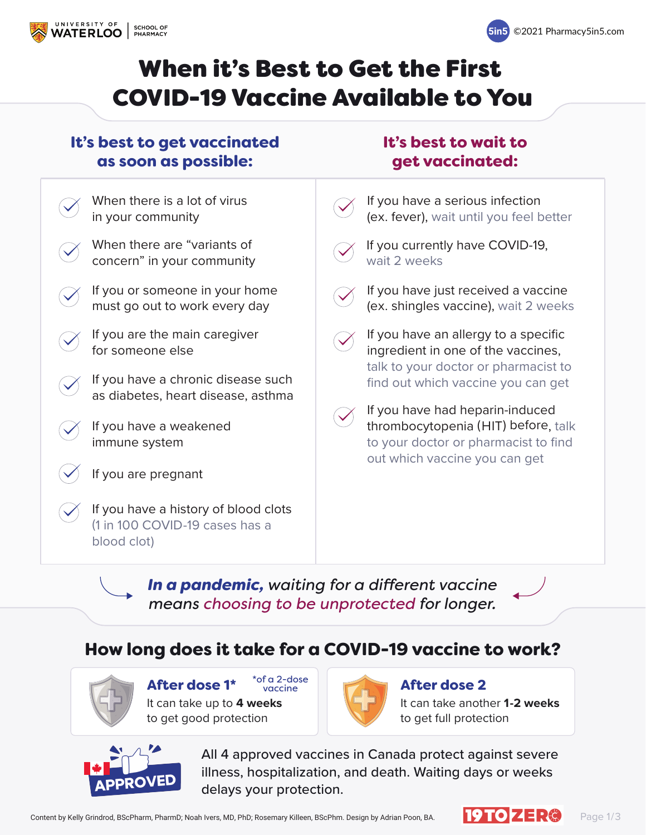All 4 approved vaccines in Canada protect against severe illness, hospitalization, and death. Waiting days or weeks delays your protection.

Content by Kelly Grindrod, BScPharm, PharmD; Noah Ivers, MD, PhD; Rosemary Killeen, BScPhm. Design by Adrian Poon, BA. Page 1/3



In a pandemic, waiting for a different vaccine *means choosing to be unprotected for longer.*

> It can take another **1-2 weeks** to get full protection



### After dose 2

It can take up to **4 weeks** to get good protection



#### How long does it take for a COVID-19 vaccine to work?



After dose 1\* \* of a 2-dose

If you have a serious infection (ex. fever), wait until you feel better



If you currently have COVID-19, wait 2 weeks



If you have just received a vaccine (ex. shingles vaccine), wait 2 weeks



If you have an allergy to a specific ingredient in one of the vaccines, talk to your doctor or pharmacist to find out which vaccine you can get



If you have had heparin-induced thrombocytopenia (HIT) before, talk to your doctor or pharmacist to find out which vaccine you can get

#### It's best to wait to get vaccinated:



When there is a lot of virus in your community



When there are "variants of concern" in your community



If you or someone in your home must go out to work every day



If you are the main caregiver for someone else



If you have a chronic disease such as diabetes, heart disease, asthma



If you have a weakened immune system



If you are pregnant



If you have a history of blood clots (1 in 100 COVID-19 cases has a blood clot)

#### It's best to get vaccinated as soon as possible:





# When it's Best to Get the First COVID-19 Vaccine Available to You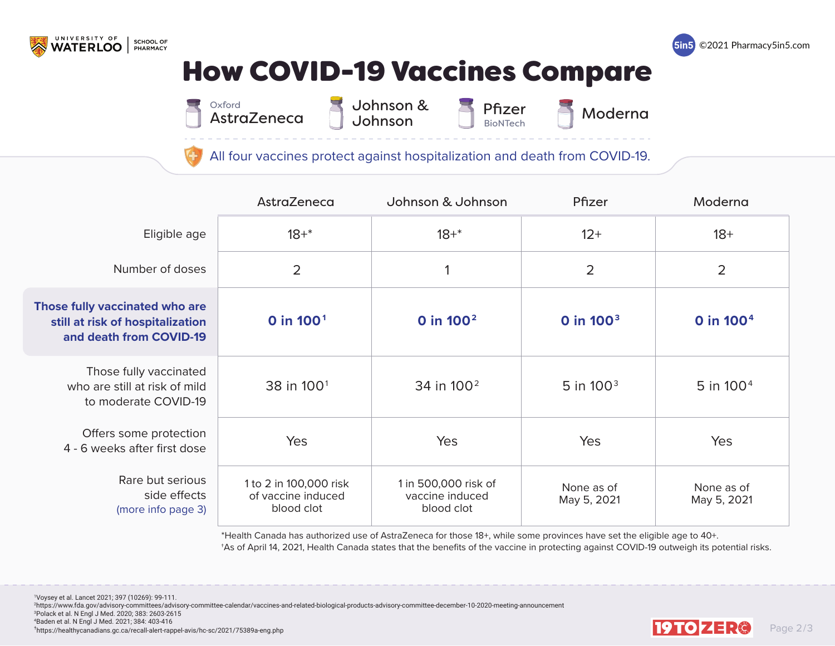

**SCHOOL OF<br>PHARMACY** 

\*Health Canada has authorized use of AstraZeneca for those 18+, while some provinces have set the eligible age to 40+. †As of April 14, 2021, Health Canada states that the benefits of the vaccine in protecting against COVID-19 outweigh its potential risks.

 Voysey et al. Lancet 2021; 397 (10269): 99-111. https://www.fda.gov/advisory-committees/advisory-committee-calendar/vaccines-and-related-biological-products-advisory-committee-december-10-2020-meeting-announcement Polack et al. N Engl J Med. 2020; 383: 2603-2615 Baden et al. N Engl J Med. 2021; 384: 403-416  $^{4}$ Baden et al. N Engl J Med. 2021; 384: 403-416<br>Thttps://healthycanadians.gc.ca/recall-alert-rappel-avis/hc-sc/2021/75389a-eng.php Page 2/3

# None as of May 5, 2021 **0 in 1002 0 in 1003 0 in 1004**







|                                                                                               | AstraZeneca                                                | Johnson & Johnson                                     | Pfizer                    | Moderna                   |
|-----------------------------------------------------------------------------------------------|------------------------------------------------------------|-------------------------------------------------------|---------------------------|---------------------------|
| Eligible age                                                                                  | $18 + *$                                                   | $18 + *$                                              | $12+$                     | $18 +$                    |
| Number of doses                                                                               |                                                            |                                                       |                           |                           |
| Those fully vaccinated who are<br>still at risk of hospitalization<br>and death from COVID-19 | 0 in 100 <sup>1</sup>                                      | 0 in 100 <sup>2</sup>                                 | 0 in 100 <sup>3</sup>     | 0 in 100 <sup>4</sup>     |
| Those fully vaccinated<br>who are still at risk of mild<br>to moderate COVID-19               | 38 in 100 <sup>1</sup>                                     | 34 in 100 <sup>2</sup>                                | 5 in 100 <sup>3</sup>     | 5 in 100 <sup>4</sup>     |
| Offers some protection<br>4 - 6 weeks after first dose                                        | Yes                                                        | Yes                                                   | Yes                       | Yes                       |
| Rare but serious<br>side effects<br>(more info page 3)                                        | 1 to 2 in 100,000 risk<br>of vaccine induced<br>blood clot | 1 in 500,000 risk of<br>vaccine induced<br>blood clot | None as of<br>May 5, 2021 | None as of<br>May 5, 2021 |